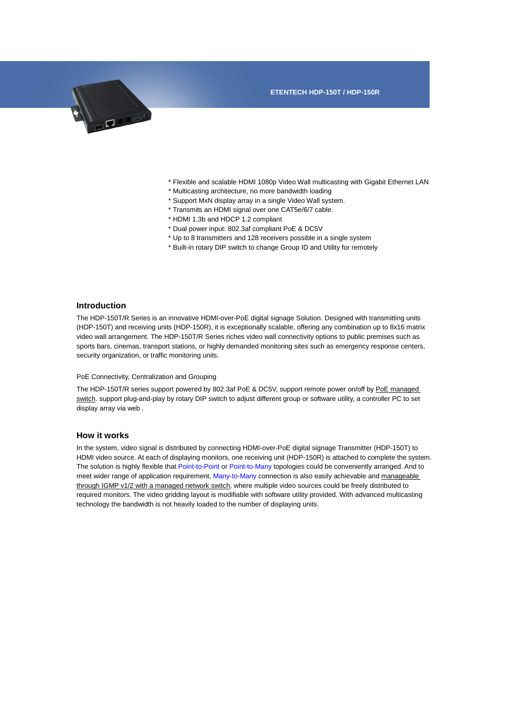

- \* Flexible and scalable HDMI 1080p Video Wall multicasting with Gigabit Ethernet LAN
- \* Multicasting architecture, no more bandwidth loading
- \* Support MxN display array in a single Video Wall system.
- \* Transmits an HDMI signal over one CAT5e/6/7 cable.
- \* HDMI 1.3b and HDCP 1.2 compliant
- \* Dual power input: 802.3af compliant PoE & DC5V
- \* Up to 8 transmitters and 128 receivers possible in a single system
- \* Built-in rotary DIP switch to change Group ID and Utility for remotely

## **Introduction**

The HDP-150T/R Series is an innovative HDMI-over-PoE digital signage Solution. Designed with transmitting units (HDP-150T) and receiving units (HDP-150R), it is exceptionally scalable, offering any combination up to 8x16 matrix video wall arrangement. The HDP-150T/R Series riches video wall connectivity options to public premises such as sports bars, cinemas, transport stations, or highly demanded monitoring sites such as emergency response centers, security organization, or traffic monitoring units.

## PoE Connectivity, Centralization and Grouping

The HDP-150T/R series support powered by 802.3af PoE & DC5V, support remote power on/off by PoE managed switch. support plug-and-play by rotary DIP switch to adjust different group or software utility, a controller PC to set display array via web .

## **How it works**

In the system, video signal is distributed by connecting HDMI-over-PoE digital signage Transmitter (HDP-150T) to HDMI video source. At each of displaying monitors, one receiving unit (HDP-150R) is attached to complete the system. The solution is highly flexible that Point-to-Point or Point-to-Many topologies could be conveniently arranged. And to meet wider range of application requirement, Many-to-Many connection is also easily achievable and manageable through IGMP v1/2 with a managed network switch, where multiple video sources could be freely distributed to required monitors. The video gridding layout is modifiable with software utility provided. With advanced multicasting technology the bandwidth is not heavily loaded to the number of displaying units.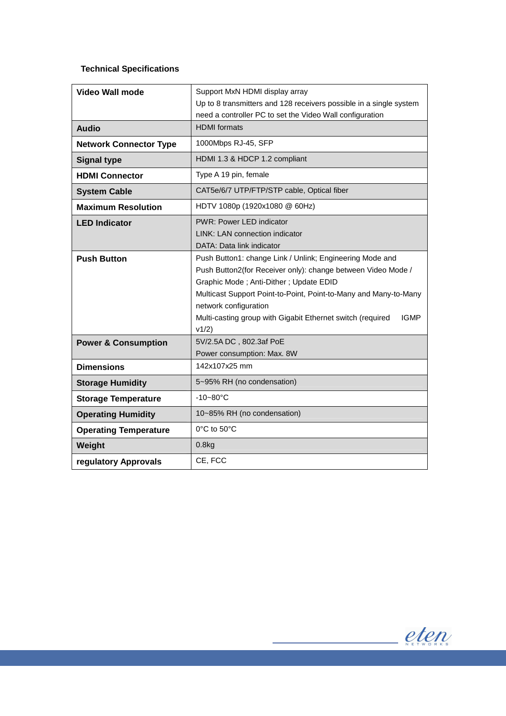## **Technical Specifications**

| <b>Video Wall mode</b>         | Support MxN HDMI display array                                            |
|--------------------------------|---------------------------------------------------------------------------|
|                                | Up to 8 transmitters and 128 receivers possible in a single system        |
|                                | need a controller PC to set the Video Wall configuration                  |
| <b>Audio</b>                   | <b>HDMI</b> formats                                                       |
| <b>Network Connector Type</b>  | 1000Mbps RJ-45, SFP                                                       |
| <b>Signal type</b>             | HDMI 1.3 & HDCP 1.2 compliant                                             |
| <b>HDMI Connector</b>          | Type A 19 pin, female                                                     |
| <b>System Cable</b>            | CAT5e/6/7 UTP/FTP/STP cable, Optical fiber                                |
| <b>Maximum Resolution</b>      | HDTV 1080p (1920x1080 @ 60Hz)                                             |
| <b>LED Indicator</b>           | PWR: Power LED indicator                                                  |
|                                | LINK: LAN connection indicator                                            |
|                                | DATA: Data link indicator                                                 |
| <b>Push Button</b>             | Push Button1: change Link / Unlink; Engineering Mode and                  |
|                                | Push Button2(for Receiver only): change between Video Mode /              |
|                                | Graphic Mode; Anti-Dither; Update EDID                                    |
|                                | Multicast Support Point-to-Point, Point-to-Many and Many-to-Many          |
|                                | network configuration                                                     |
|                                | Multi-casting group with Gigabit Ethernet switch (required<br><b>IGMP</b> |
|                                | v1/2)                                                                     |
| <b>Power &amp; Consumption</b> | 5V/2.5A DC, 802.3af PoE                                                   |
|                                | Power consumption: Max. 8W                                                |
| <b>Dimensions</b>              | 142x107x25 mm                                                             |
| <b>Storage Humidity</b>        | 5~95% RH (no condensation)                                                |
| <b>Storage Temperature</b>     | $-10 - 80$ °C                                                             |
| <b>Operating Humidity</b>      | 10~85% RH (no condensation)                                               |
| <b>Operating Temperature</b>   | 0°C to 50°C                                                               |
| Weight                         | 0.8kg                                                                     |
| regulatory Approvals           | CE, FCC                                                                   |